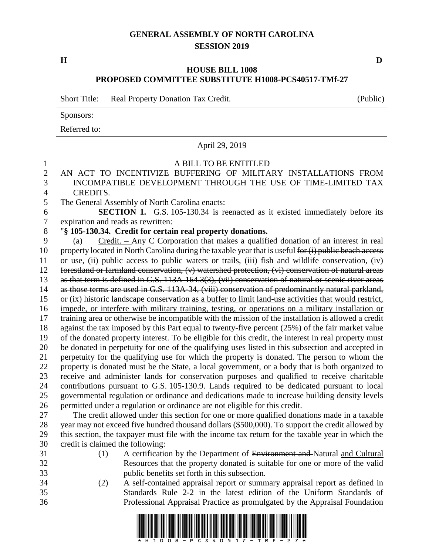## **GENERAL ASSEMBLY OF NORTH CAROLINA SESSION 2019**

**H D**

## **HOUSE BILL 1008 PROPOSED COMMITTEE SUBSTITUTE H1008-PCS40517-TMf-27**

Short Title: Real Property Donation Tax Credit. (Public)

Sponsors:

Referred to:

## April 29, 2019 A BILL TO BE ENTITLED AN ACT TO INCENTIVIZE BUFFERING OF MILITARY INSTALLATIONS FROM INCOMPATIBLE DEVELOPMENT THROUGH THE USE OF TIME-LIMITED TAX CREDITS. The General Assembly of North Carolina enacts: **SECTION 1.** G.S. 105-130.34 is reenacted as it existed immediately before its expiration and reads as rewritten: "**§ 105-130.34. Credit for certain real property donations.** (a) Credit. – Any C Corporation that makes a qualified donation of an interest in real 10 property located in North Carolina during the taxable year that is useful for (i) public beach access or use, (ii) public access to public waters or trails, (iii) fish and wildlife conservation, (iv) forestland or farmland conservation, (v) watershed protection, (vi) conservation of natural areas as that term is defined in G.S. 113A-164.3(3), (vii) conservation of natural or scenic river areas as those terms are used in G.S. 113A-34, (viii) conservation of predominantly natural parkland, or (ix) historic landscape conservation as a buffer to limit land-use activities that would restrict, impede, or interfere with military training, testing, or operations on a military installation or training area or otherwise be incompatible with the mission of the installation is allowed a credit against the tax imposed by this Part equal to twenty-five percent (25%) of the fair market value of the donated property interest. To be eligible for this credit, the interest in real property must be donated in perpetuity for one of the qualifying uses listed in this subsection and accepted in perpetuity for the qualifying use for which the property is donated. The person to whom the property is donated must be the State, a local government, or a body that is both organized to receive and administer lands for conservation purposes and qualified to receive charitable contributions pursuant to G.S. 105-130.9. Lands required to be dedicated pursuant to local governmental regulation or ordinance and dedications made to increase building density levels permitted under a regulation or ordinance are not eligible for this credit. The credit allowed under this section for one or more qualified donations made in a taxable year may not exceed five hundred thousand dollars (\$500,000). To support the credit allowed by this section, the taxpayer must file with the income tax return for the taxable year in which the credit is claimed the following: 31 (1) A certification by the Department of Environment and Natural and Cultural Resources that the property donated is suitable for one or more of the valid public benefits set forth in this subsection. (2) A self-contained appraisal report or summary appraisal report as defined in Standards Rule 2-2 in the latest edition of the Uniform Standards of Professional Appraisal Practice as promulgated by the Appraisal Foundation

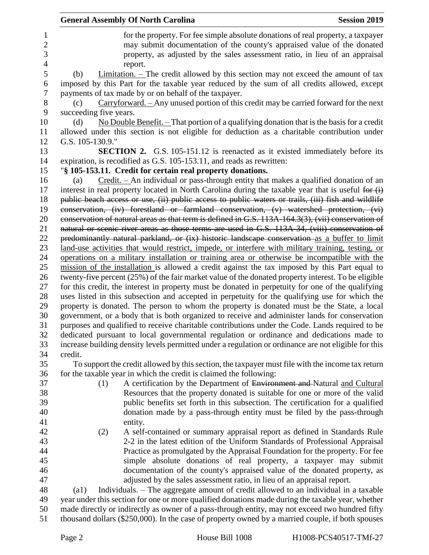|                                                       |                                                                                                   | <b>General Assembly Of North Carolina</b>             |                                                                       | <b>Session 2019</b>                                                                                                                                                                                                                         |
|-------------------------------------------------------|---------------------------------------------------------------------------------------------------|-------------------------------------------------------|-----------------------------------------------------------------------|---------------------------------------------------------------------------------------------------------------------------------------------------------------------------------------------------------------------------------------------|
| $\mathbf{1}$<br>$\overline{2}$<br>3<br>$\overline{4}$ |                                                                                                   | report.                                               |                                                                       | for the property. For fee simple absolute donations of real property, a taxpayer<br>may submit documentation of the county's appraised value of the donated<br>property, as adjusted by the sales assessment ratio, in lieu of an appraisal |
| 5<br>6                                                | (b)                                                                                               |                                                       |                                                                       | Limitation. $\overline{\phantom{a}}$ The credit allowed by this section may not exceed the amount of tax<br>imposed by this Part for the taxable year reduced by the sum of all credits allowed, except                                     |
| 7<br>8<br>9                                           | (c)<br>succeeding five years.                                                                     | payments of tax made by or on behalf of the taxpayer. |                                                                       | $Carryforward. - Any unused portion of this credit may be carried forward for the next$                                                                                                                                                     |
| 10<br>11                                              | (d)                                                                                               |                                                       |                                                                       | No Double Benefit. $-$ That portion of a qualifying donation that is the basis for a credit<br>allowed under this section is not eligible for deduction as a charitable contribution under                                                  |
| 12                                                    | G.S. 105-130.9."                                                                                  |                                                       |                                                                       |                                                                                                                                                                                                                                             |
| 13<br>14                                              |                                                                                                   |                                                       | expiration, is recodified as G.S. 105-153.11, and reads as rewritten: | <b>SECTION 2.</b> G.S. 105-151.12 is reenacted as it existed immediately before its                                                                                                                                                         |
| 15                                                    |                                                                                                   |                                                       | "§ 105-153.11. Credit for certain real property donations.            |                                                                                                                                                                                                                                             |
| 16                                                    | (a)                                                                                               |                                                       |                                                                       | $Credit.$ - An individual or pass-through entity that makes a qualified donation of an                                                                                                                                                      |
| 17<br>18                                              |                                                                                                   |                                                       |                                                                       | interest in real property located in North Carolina during the taxable year that is useful for $(i)$<br>public beach access or use, (ii) public access to public waters or trails, (iii) fish and wildlife                                  |
| 19                                                    |                                                                                                   |                                                       |                                                                       | conservation, (iv) forestland or farmland conservation, (v) watershed protection, (vi)                                                                                                                                                      |
| 20                                                    |                                                                                                   |                                                       |                                                                       | conservation of natural areas as that term is defined in G.S. 113A-164.3(3), (vii) conservation of                                                                                                                                          |
| 21                                                    |                                                                                                   |                                                       |                                                                       | natural or scenic river areas as those terms are used in G.S. 113A-34, (viii) conservation of                                                                                                                                               |
| 22                                                    |                                                                                                   |                                                       |                                                                       | predominantly natural parkland, or (ix) historic landscape conservation as a buffer to limit                                                                                                                                                |
| 23                                                    | land-use activities that would restrict, impede, or interfere with military training, testing, or |                                                       |                                                                       |                                                                                                                                                                                                                                             |
| 24                                                    |                                                                                                   |                                                       |                                                                       | operations on a military installation or training area or otherwise be incompatible with the                                                                                                                                                |
| 25                                                    |                                                                                                   |                                                       |                                                                       | mission of the installation is allowed a credit against the tax imposed by this Part equal to                                                                                                                                               |
| 26                                                    |                                                                                                   |                                                       |                                                                       | twenty-five percent (25%) of the fair market value of the donated property interest. To be eligible                                                                                                                                         |
| 27                                                    |                                                                                                   |                                                       |                                                                       | for this credit, the interest in property must be donated in perpetuity for one of the qualifying                                                                                                                                           |
| 28                                                    |                                                                                                   |                                                       |                                                                       | uses listed in this subsection and accepted in perpetuity for the qualifying use for which the                                                                                                                                              |
| 29                                                    |                                                                                                   |                                                       |                                                                       | property is donated. The person to whom the property is donated must be the State, a local                                                                                                                                                  |
| 30                                                    |                                                                                                   |                                                       |                                                                       | government, or a body that is both organized to receive and administer lands for conservation                                                                                                                                               |
| 31                                                    |                                                                                                   |                                                       |                                                                       | purposes and qualified to receive charitable contributions under the Code. Lands required to be                                                                                                                                             |
| 32                                                    |                                                                                                   |                                                       |                                                                       | dedicated pursuant to local governmental regulation or ordinance and dedications made to                                                                                                                                                    |
| 33<br>34                                              | credit.                                                                                           |                                                       |                                                                       | increase building density levels permitted under a regulation or ordinance are not eligible for this                                                                                                                                        |
| 35                                                    |                                                                                                   |                                                       |                                                                       | To support the credit allowed by this section, the taxpayer must file with the income tax return                                                                                                                                            |
| 36                                                    |                                                                                                   |                                                       | for the taxable year in which the credit is claimed the following:    |                                                                                                                                                                                                                                             |
| 37                                                    | (1)                                                                                               |                                                       |                                                                       | A certification by the Department of Environment and Natural and Cultural                                                                                                                                                                   |
| 38                                                    |                                                                                                   |                                                       |                                                                       | Resources that the property donated is suitable for one or more of the valid                                                                                                                                                                |
| 39                                                    |                                                                                                   |                                                       |                                                                       | public benefits set forth in this subsection. The certification for a qualified                                                                                                                                                             |
| 40                                                    |                                                                                                   |                                                       |                                                                       | donation made by a pass-through entity must be filed by the pass-through                                                                                                                                                                    |
| 41                                                    |                                                                                                   | entity.                                               |                                                                       |                                                                                                                                                                                                                                             |
| 42                                                    | (2)                                                                                               |                                                       |                                                                       | A self-contained or summary appraisal report as defined in Standards Rule                                                                                                                                                                   |
| 43                                                    |                                                                                                   |                                                       |                                                                       | 2-2 in the latest edition of the Uniform Standards of Professional Appraisal                                                                                                                                                                |
| 44                                                    |                                                                                                   |                                                       |                                                                       | Practice as promulgated by the Appraisal Foundation for the property. For fee                                                                                                                                                               |
| 45                                                    |                                                                                                   |                                                       |                                                                       | simple absolute donations of real property, a taxpayer may submit                                                                                                                                                                           |
| 46                                                    |                                                                                                   |                                                       |                                                                       | documentation of the county's appraised value of the donated property, as                                                                                                                                                                   |
| 47                                                    |                                                                                                   |                                                       |                                                                       | adjusted by the sales assessment ratio, in lieu of an appraisal report.                                                                                                                                                                     |
| 48                                                    | $\left( a1\right)$                                                                                |                                                       |                                                                       | Individuals. – The aggregate amount of credit allowed to an individual in a taxable                                                                                                                                                         |
| 49                                                    |                                                                                                   |                                                       |                                                                       | year under this section for one or more qualified donations made during the taxable year, whether                                                                                                                                           |
| 50                                                    | made directly or indirectly as owner of a pass-through entity, may not exceed two hundred fifty   |                                                       |                                                                       |                                                                                                                                                                                                                                             |
| 51                                                    |                                                                                                   |                                                       |                                                                       | thousand dollars (\$250,000). In the case of property owned by a married couple, if both spouses                                                                                                                                            |
|                                                       | Page 2                                                                                            |                                                       | House Bill 1008                                                       | H1008-PCS40517-TMf-27                                                                                                                                                                                                                       |